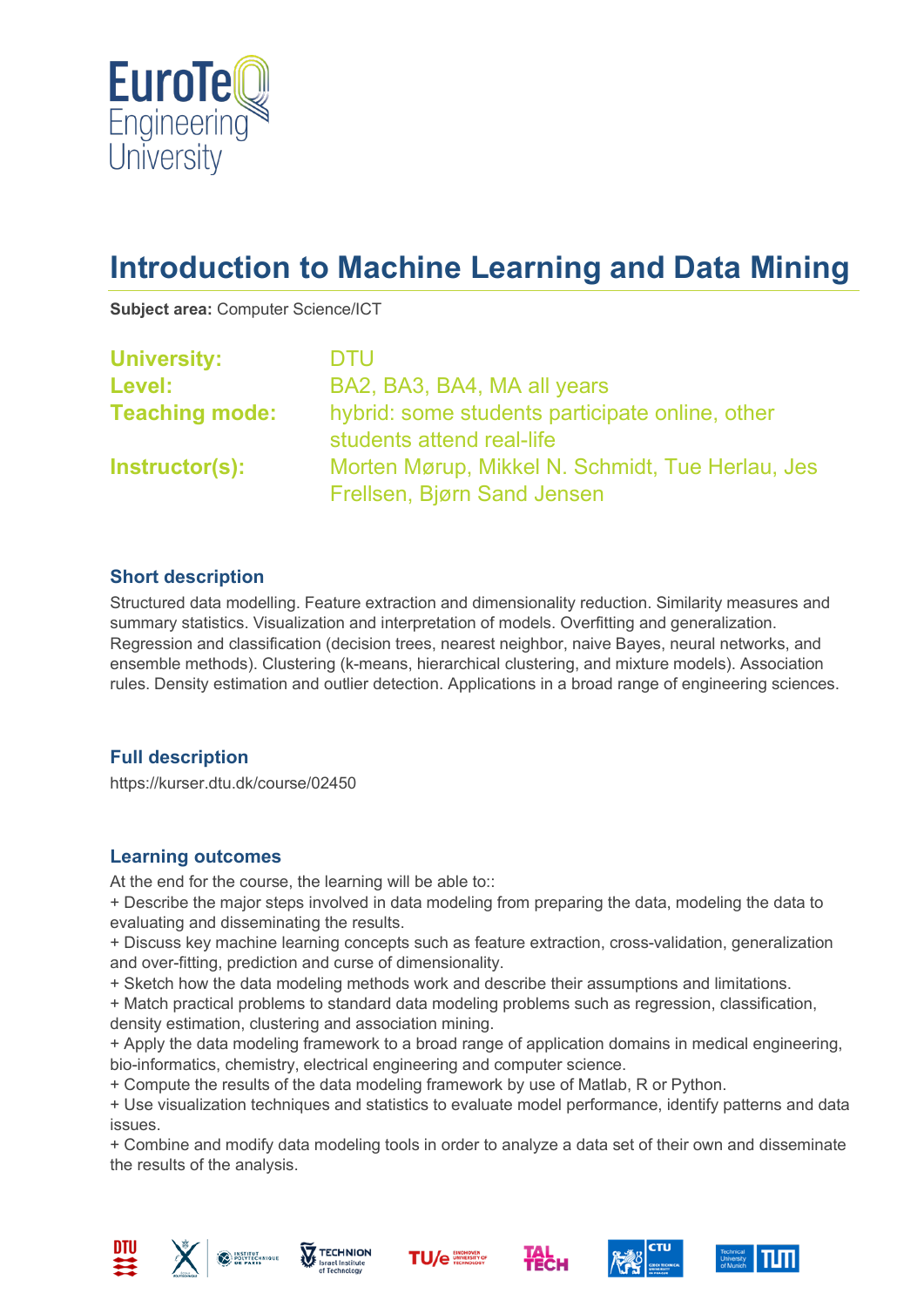

# **Introduction to Machine Learning and Data Mining**

**Subject area:** Computer Science/ICT

| <b>University:</b>    | <b>DTU</b>                                                                      |
|-----------------------|---------------------------------------------------------------------------------|
| <b>Level:</b>         | BA2, BA3, BA4, MA all years                                                     |
| <b>Teaching mode:</b> | hybrid: some students participate online, other<br>students attend real-life    |
| Instructor(s):        | Morten Mørup, Mikkel N. Schmidt, Tue Herlau, Jes<br>Frellsen, Bjørn Sand Jensen |

#### **Short description**

Structured data modelling. Feature extraction and dimensionality reduction. Similarity measures and summary statistics. Visualization and interpretation of models. Overfitting and generalization. Regression and classification (decision trees, nearest neighbor, naive Bayes, neural networks, and ensemble methods). Clustering (k-means, hierarchical clustering, and mixture models). Association rules. Density estimation and outlier detection. Applications in a broad range of engineering sciences.

# **Full description**

https://kurser.dtu.dk/course/02450

#### **Learning outcomes**

At the end for the course, the learning will be able to::

+ Describe the major steps involved in data modeling from preparing the data, modeling the data to evaluating and disseminating the results.

+ Discuss key machine learning concepts such as feature extraction, cross-validation, generalization and over-fitting, prediction and curse of dimensionality.

+ Sketch how the data modeling methods work and describe their assumptions and limitations.

+ Match practical problems to standard data modeling problems such as regression, classification, density estimation, clustering and association mining.

+ Apply the data modeling framework to a broad range of application domains in medical engineering, bio-informatics, chemistry, electrical engineering and computer science.

+ Compute the results of the data modeling framework by use of Matlab, R or Python.

+ Use visualization techniques and statistics to evaluate model performance, identify patterns and data issues.

+ Combine and modify data modeling tools in order to analyze a data set of their own and disseminate the results of the analysis.













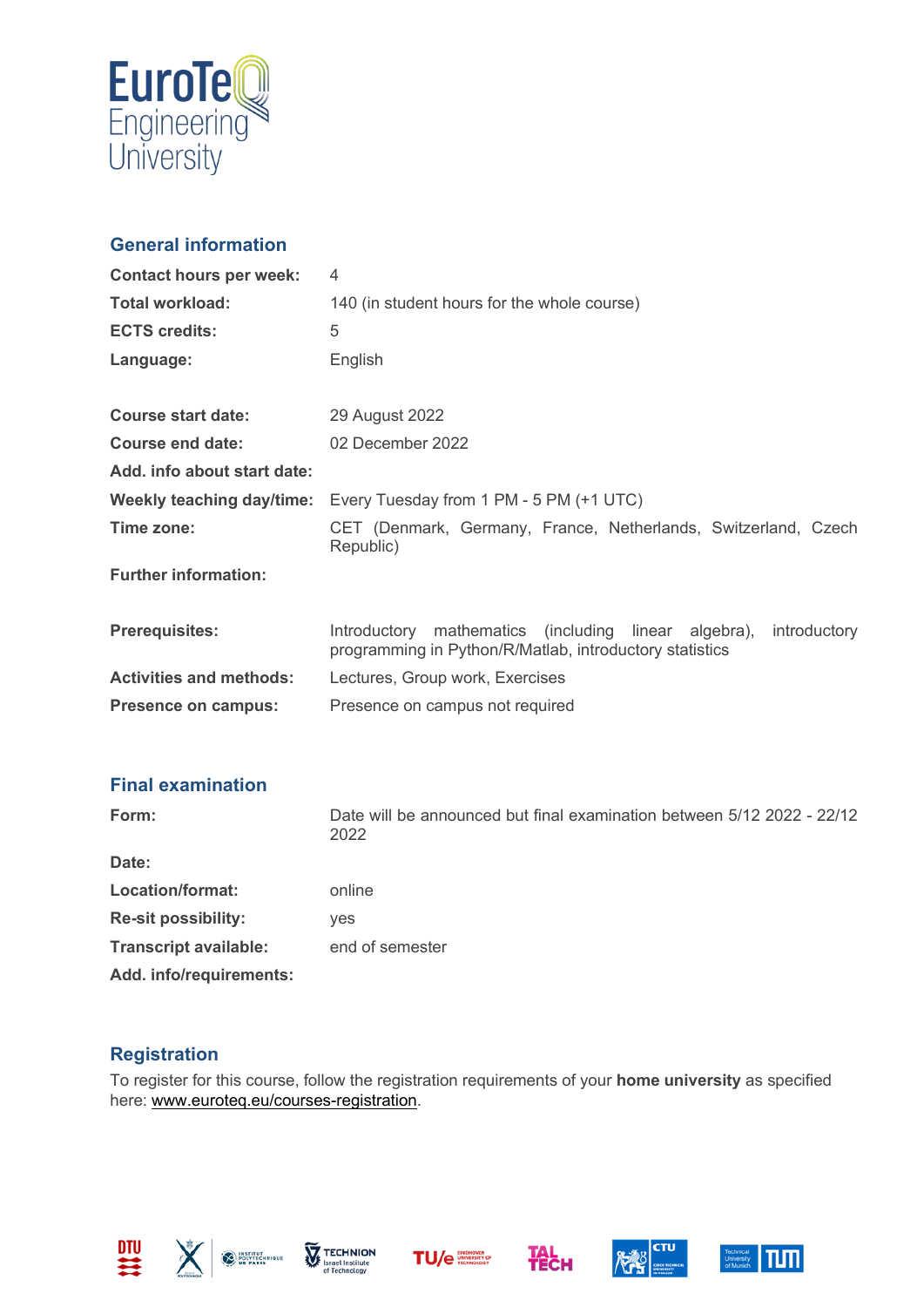

# **General information**

| <b>Contact hours per week:</b> | 4                                                                                                                                     |
|--------------------------------|---------------------------------------------------------------------------------------------------------------------------------------|
| <b>Total workload:</b>         | 140 (in student hours for the whole course)                                                                                           |
| <b>ECTS credits:</b>           | 5                                                                                                                                     |
| Language:                      | English                                                                                                                               |
|                                |                                                                                                                                       |
| <b>Course start date:</b>      | 29 August 2022                                                                                                                        |
| Course end date:               | 02 December 2022                                                                                                                      |
| Add. info about start date:    |                                                                                                                                       |
| Weekly teaching day/time:      | Every Tuesday from 1 PM - 5 PM (+1 UTC)                                                                                               |
| Time zone:                     | CET (Denmark, Germany, France, Netherlands, Switzerland, Czech<br>Republic)                                                           |
| <b>Further information:</b>    |                                                                                                                                       |
| <b>Prerequisites:</b>          | mathematics (including<br>linear algebra),<br>introductory<br>Introductory<br>programming in Python/R/Matlab, introductory statistics |
| <b>Activities and methods:</b> | Lectures, Group work, Exercises                                                                                                       |
| <b>Presence on campus:</b>     | Presence on campus not required                                                                                                       |

# **Final examination**

| Form:                        | Date will be announced but final examination between 5/12 2022 - 22/12<br>2022 |
|------------------------------|--------------------------------------------------------------------------------|
| Date:                        |                                                                                |
| Location/format:             | online                                                                         |
| <b>Re-sit possibility:</b>   | <b>ves</b>                                                                     |
| <b>Transcript available:</b> | end of semester                                                                |
| Add. info/requirements:      |                                                                                |

# **Registration**

To register for this course, follow the registration requirements of your **home university** as specified here: [www.euroteq.eu/courses-registration.](http://www.euroteq.eu/courses-registration)